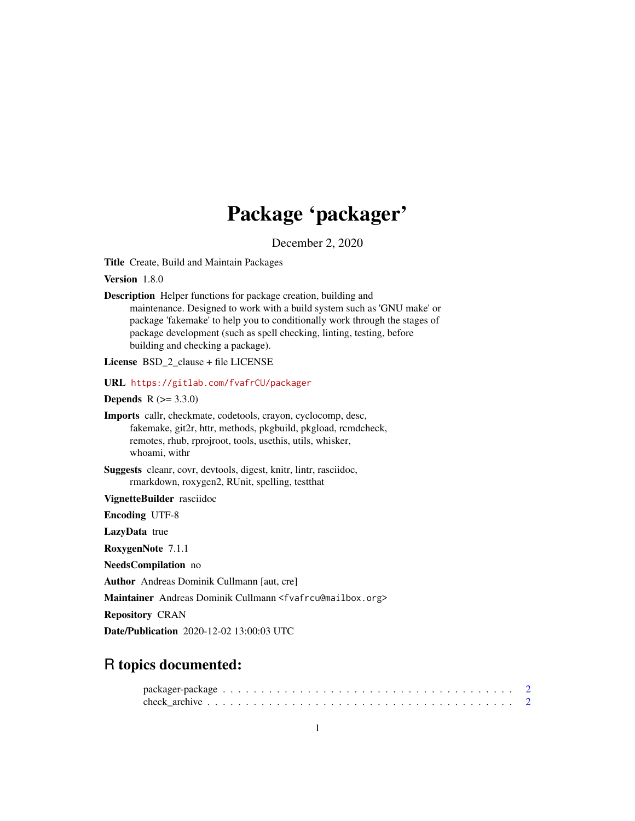# Package 'packager'

December 2, 2020

<span id="page-0-0"></span>Title Create, Build and Maintain Packages

Version 1.8.0

| <b>Description</b> Helper functions for package creation, building and          |
|---------------------------------------------------------------------------------|
| maintenance. Designed to work with a build system such as 'GNU make' or         |
| package 'fakemake' to help you to conditionally work through the stages of      |
| package development (such as spell checking, linting, testing, before           |
| building and checking a package).                                               |
|                                                                                 |
| <b>License BSD 2 clause + file LICENSE</b>                                      |
| URL https://gitlab.com/fvafrCU/packager                                         |
| <b>Depends</b> $R (= 3.3.0)$                                                    |
| Imports callr, checkmate, codetools, crayon, cyclocomp, desc,                   |
| fakemake, git2r, httr, methods, pkgbuild, pkgload, rcmdcheck,                   |
| remotes, rhub, rprojroot, tools, usethis, utils, whisker,                       |
| whoami, withr                                                                   |
|                                                                                 |
| <b>Suggests</b> cleanr, covr, devtools, digest, knitr, lintr, rasciidoc,        |
| rmarkdown, roxygen2, RUnit, spelling, testthat                                  |
| VignetteBuilder rasciidoc                                                       |
| <b>Encoding UTF-8</b>                                                           |
| LazyData true                                                                   |
| RoxygenNote 7.1.1                                                               |
| NeedsCompilation no                                                             |
| <b>Author</b> Andreas Dominik Cullmann [aut, cre]                               |
| Maintainer Andreas Dominik Cullmann <fvafrcu@mailbox.org></fvafrcu@mailbox.org> |
| <b>Repository CRAN</b>                                                          |
| <b>Date/Publication</b> 2020-12-02 13:00:03 UTC                                 |
|                                                                                 |

## R topics documented: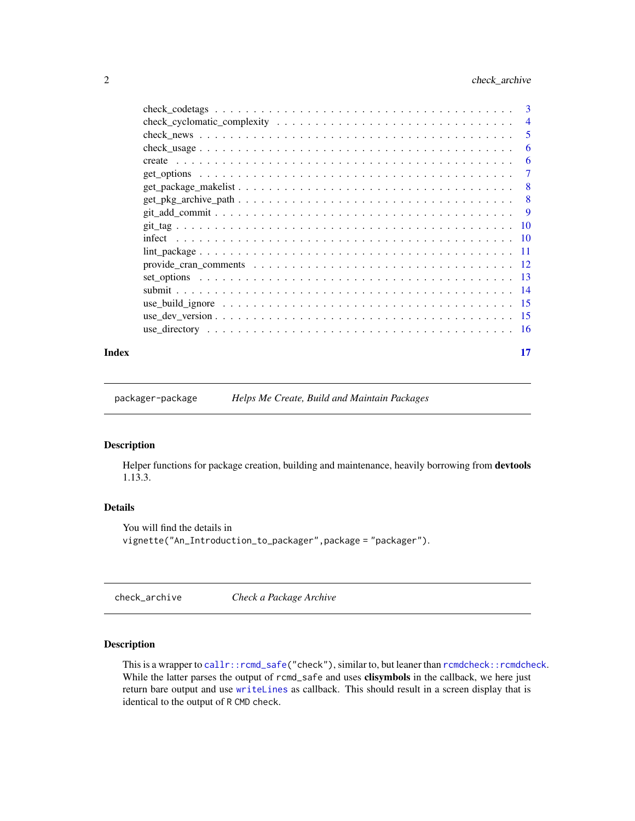<span id="page-1-0"></span>

|       |                                                                                                 | 3              |
|-------|-------------------------------------------------------------------------------------------------|----------------|
|       |                                                                                                 | $\overline{4}$ |
|       |                                                                                                 | 5              |
|       |                                                                                                 | 6              |
|       |                                                                                                 | 6              |
|       |                                                                                                 | $\tau$         |
|       |                                                                                                 | - 8            |
|       | $get\_pkg\_archive\_path \ldots \ldots \ldots \ldots \ldots \ldots \ldots \ldots \ldots \ldots$ | -8             |
|       |                                                                                                 | - 9            |
|       |                                                                                                 |                |
|       |                                                                                                 |                |
|       |                                                                                                 |                |
|       |                                                                                                 |                |
|       |                                                                                                 |                |
|       |                                                                                                 |                |
|       |                                                                                                 |                |
|       |                                                                                                 |                |
|       |                                                                                                 |                |
| Index |                                                                                                 | 17             |

packager-package *Helps Me Create, Build and Maintain Packages*

#### Description

Helper functions for package creation, building and maintenance, heavily borrowing from devtools 1.13.3.

#### Details

```
You will find the details in
vignette("An_Introduction_to_packager",package = "packager").
```
<span id="page-1-1"></span>check\_archive *Check a Package Archive*

#### Description

This is a wrapper to [callr::rcmd\\_safe\(](#page-0-0)"check"), similar to, but leaner than [rcmdcheck::rcmdcheck](#page-0-0). While the latter parses the output of rcmd\_safe and uses clisymbols in the callback, we here just return bare output and use [writeLines](#page-0-0) as callback. This should result in a screen display that is identical to the output of R CMD check.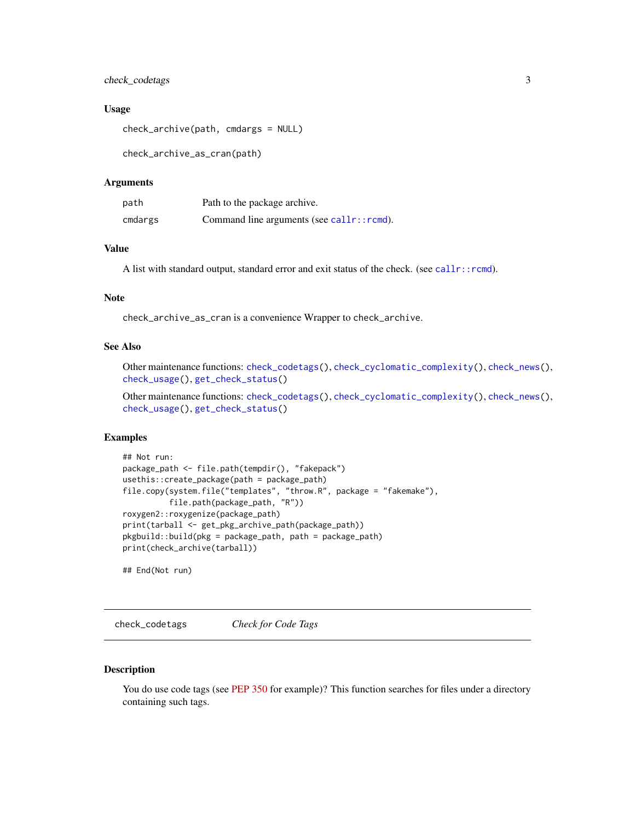#### <span id="page-2-0"></span>check\_codetags 3

#### Usage

```
check_archive(path, cmdargs = NULL)
```
check\_archive\_as\_cran(path)

#### Arguments

| path    | Path to the package archive.              |
|---------|-------------------------------------------|
| cmdargs | Command line arguments (see callr::rcmd). |

#### Value

A list with standard output, standard error and exit status of the check. (see [callr::rcmd](#page-0-0)).

#### Note

check\_archive\_as\_cran is a convenience Wrapper to check\_archive.

#### See Also

Other maintenance functions: [check\\_codetags\(](#page-2-1)), [check\\_cyclomatic\\_complexity\(](#page-3-1)), [check\\_news\(](#page-4-1)), [check\\_usage\(](#page-5-1)), [get\\_check\\_status\(](#page-0-0))

Other maintenance functions: [check\\_codetags\(](#page-2-1)), [check\\_cyclomatic\\_complexity\(](#page-3-1)), [check\\_news\(](#page-4-1)), [check\\_usage\(](#page-5-1)), [get\\_check\\_status\(](#page-0-0))

#### Examples

```
## Not run:
package_path <- file.path(tempdir(), "fakepack")
usethis::create_package(path = package_path)
file.copy(system.file("templates", "throw.R", package = "fakemake"),
          file.path(package_path, "R"))
roxygen2::roxygenize(package_path)
print(tarball <- get_pkg_archive_path(package_path))
pkgbuild::build(pkg = package_path, path = package_path)
print(check_archive(tarball))
```
## End(Not run)

<span id="page-2-1"></span>check\_codetags *Check for Code Tags*

#### Description

You do use code tags (see [PEP 350](https://www.python.org/dev/peps/pep-0350/) for example)? This function searches for files under a directory containing such tags.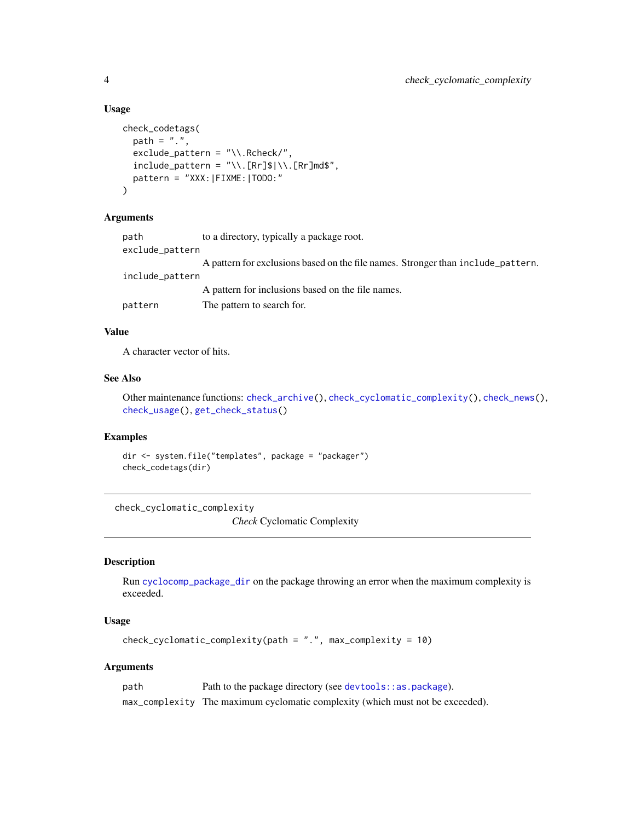#### Usage

```
check_codetags(
  path = ".'',exclude_pattern = "\\.Rcheck/",
  include<sub>pattern</sub> = "\\.[Rr]$|\\.[Rr]md$",
  pattern = "XXX:|FIXME:|TODO:"
\mathcal{L}
```
#### Arguments

| path            | to a directory, typically a package root.                                        |
|-----------------|----------------------------------------------------------------------------------|
| exclude_pattern |                                                                                  |
|                 | A pattern for exclusions based on the file names. Stronger than include_pattern. |
| include_pattern |                                                                                  |
|                 | A pattern for inclusions based on the file names.                                |
| pattern         | The pattern to search for.                                                       |
|                 |                                                                                  |

#### Value

A character vector of hits.

#### See Also

Other maintenance functions: [check\\_archive\(](#page-1-1)), [check\\_cyclomatic\\_complexity\(](#page-3-1)), [check\\_news\(](#page-4-1)), [check\\_usage\(](#page-5-1)), [get\\_check\\_status\(](#page-0-0))

#### Examples

dir <- system.file("templates", package = "packager") check\_codetags(dir)

<span id="page-3-1"></span>check\_cyclomatic\_complexity

*Check* Cyclomatic Complexity

#### Description

Run [cyclocomp\\_package\\_dir](#page-0-0) on the package throwing an error when the maximum complexity is exceeded.

### Usage

```
check_cyclomatic_complexity(path = ".", max_complexity = 10)
```

| path | Path to the package directory (see devtools: : as . package).                  |
|------|--------------------------------------------------------------------------------|
|      | max_complexity The maximum cyclomatic complexity (which must not be exceeded). |

<span id="page-3-0"></span>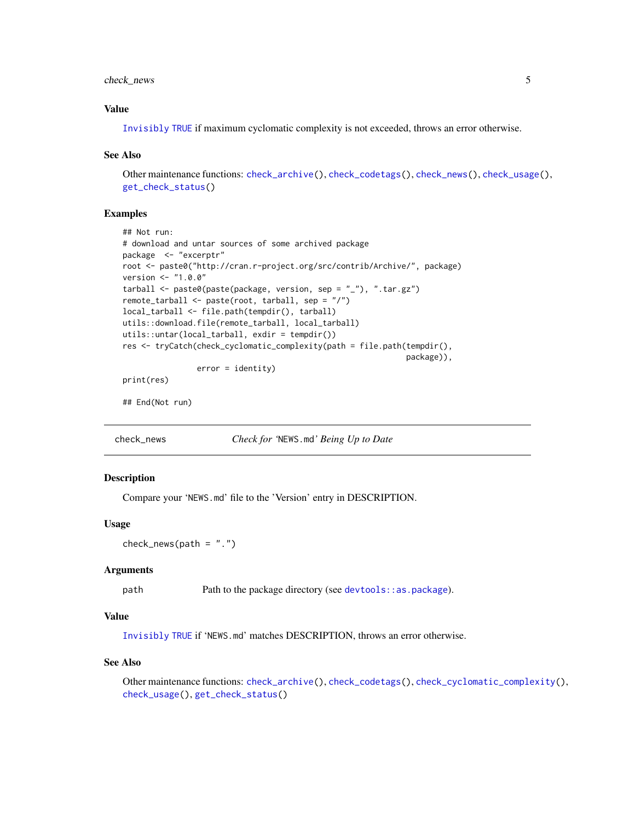#### <span id="page-4-0"></span>check\_news 5

#### Value

[Invisibly](#page-0-0) [TRUE](#page-0-0) if maximum cyclomatic complexity is not exceeded, throws an error otherwise.

#### See Also

Other maintenance functions: [check\\_archive\(](#page-1-1)), [check\\_codetags\(](#page-2-1)), [check\\_news\(](#page-4-1)), [check\\_usage\(](#page-5-1)), [get\\_check\\_status\(](#page-0-0))

#### Examples

```
## Not run:
# download and untar sources of some archived package
package <- "excerptr"
root <- paste0("http://cran.r-project.org/src/contrib/Archive/", package)
version <- "1.0.0"
tarball <- paste0(paste(package, version, sep = "_"), ".tar.gz")
remote_tarball <- paste(root, tarball, sep = "/")
local_tarball <- file.path(tempdir(), tarball)
utils::download.file(remote_tarball, local_tarball)
utils::untar(local_tarball, exdir = tempdir())
res <- tryCatch(check_cyclomatic_complexity(path = file.path(tempdir(),
                                                             package)),
                error = identity)
```
print(res)

## End(Not run)

<span id="page-4-1"></span>check\_news *Check for '*NEWS.md*' Being Up to Date*

#### Description

Compare your 'NEWS.md' file to the 'Version' entry in DESCRIPTION.

#### Usage

```
check\_news(path = "."')
```
#### Arguments

path Path to the package directory (see devtools: : as . package).

#### Value

[Invisibly](#page-0-0) [TRUE](#page-0-0) if 'NEWS.md' matches DESCRIPTION, throws an error otherwise.

#### See Also

Other maintenance functions: [check\\_archive\(](#page-1-1)), [check\\_codetags\(](#page-2-1)), [check\\_cyclomatic\\_complexity\(](#page-3-1)), [check\\_usage\(](#page-5-1)), [get\\_check\\_status\(](#page-0-0))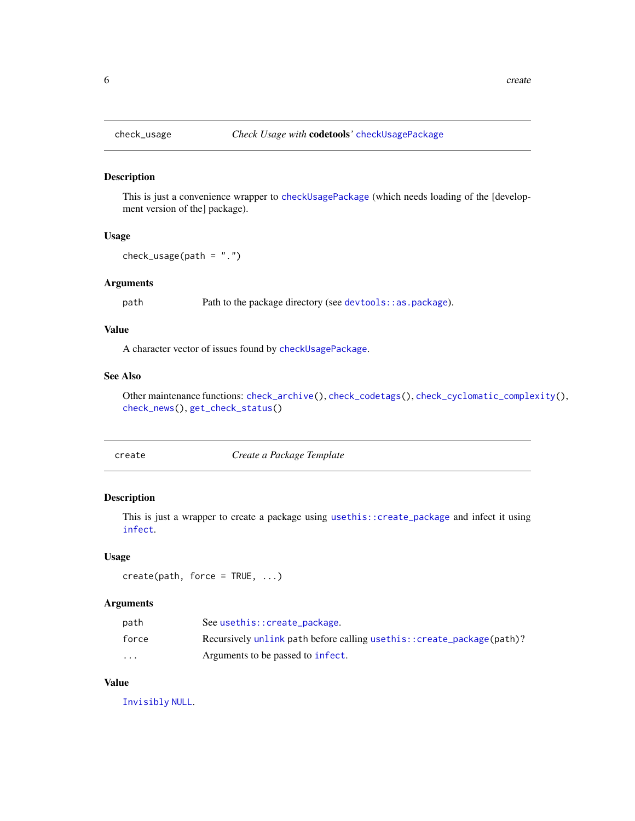<span id="page-5-1"></span><span id="page-5-0"></span>

#### Description

This is just a convenience wrapper to [checkUsagePackage](#page-0-0) (which needs loading of the [development version of the] package).

#### Usage

```
check_usage(path = ".")
```
#### Arguments

path Path to the package directory (see [devtools::as.package](#page-0-0)).

#### Value

A character vector of issues found by [checkUsagePackage](#page-0-0).

#### See Also

Other maintenance functions: [check\\_archive\(](#page-1-1)), [check\\_codetags\(](#page-2-1)), [check\\_cyclomatic\\_complexity\(](#page-3-1)), [check\\_news\(](#page-4-1)), [get\\_check\\_status\(](#page-0-0))

<span id="page-5-2"></span>

create *Create a Package Template*

#### Description

This is just a wrapper to create a package using [usethis::create\\_package](#page-0-0) and infect it using [infect](#page-9-1).

#### Usage

```
create(path, force = TRUE, ...)
```
#### Arguments

| path                    | See usethis:: create_package.                                          |
|-------------------------|------------------------------------------------------------------------|
| force                   | Recursively unlink path before calling usethis:: create_package(path)? |
| $\cdot$ $\cdot$ $\cdot$ | Arguments to be passed to infect.                                      |

#### Value

[Invisibly](#page-0-0) [NULL](#page-0-0).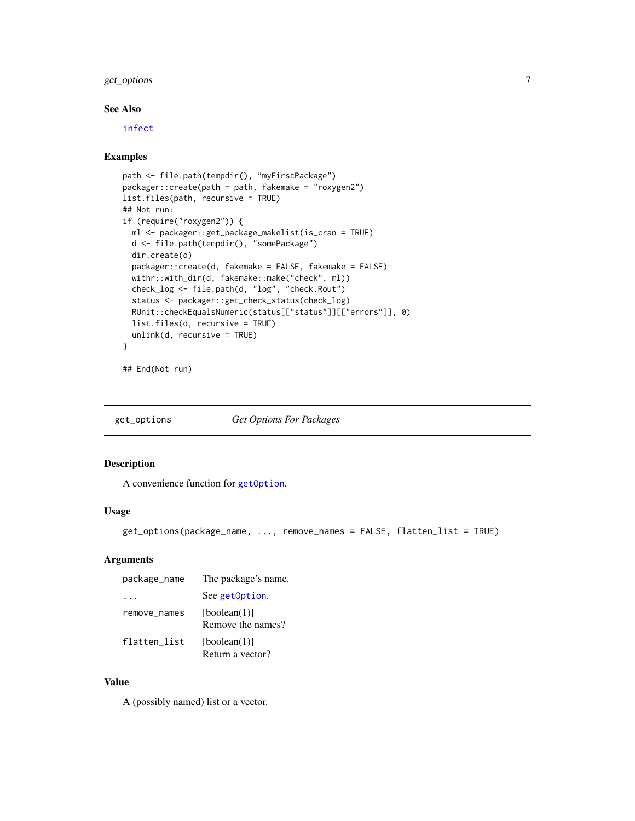#### <span id="page-6-0"></span>get\_options 7

#### See Also

[infect](#page-9-1)

#### Examples

```
path <- file.path(tempdir(), "myFirstPackage")
packager::create(path = path, fakemake = "roxygen2")
list.files(path, recursive = TRUE)
## Not run:
if (require("roxygen2")) {
  ml <- packager::get_package_makelist(is_cran = TRUE)
  d <- file.path(tempdir(), "somePackage")
  dir.create(d)
  packager::create(d, fakemake = FALSE, fakemake = FALSE)
  withr::with_dir(d, fakemake::make("check", ml))
  check_log <- file.path(d, "log", "check.Rout")
  status <- packager::get_check_status(check_log)
  RUnit::checkEqualsNumeric(status[["status"]][["errors"]], 0)
  list.files(d, recursive = TRUE)
  unlink(d, recursive = TRUE)
}
```

```
## End(Not run)
```
<span id="page-6-1"></span>get\_options *Get Options For Packages*

#### Description

A convenience function for [getOption](#page-0-0).

#### Usage

```
get_options(package_name, ..., remove_names = FALSE, flatten_list = TRUE)
```
### Arguments

| package_name | The package's name.               |
|--------------|-----------------------------------|
|              | See getOption.                    |
| remove_names | [boolean(1)]<br>Remove the names? |
| flatten list | [boolean(1)]<br>Return a vector?  |

#### Value

A (possibly named) list or a vector.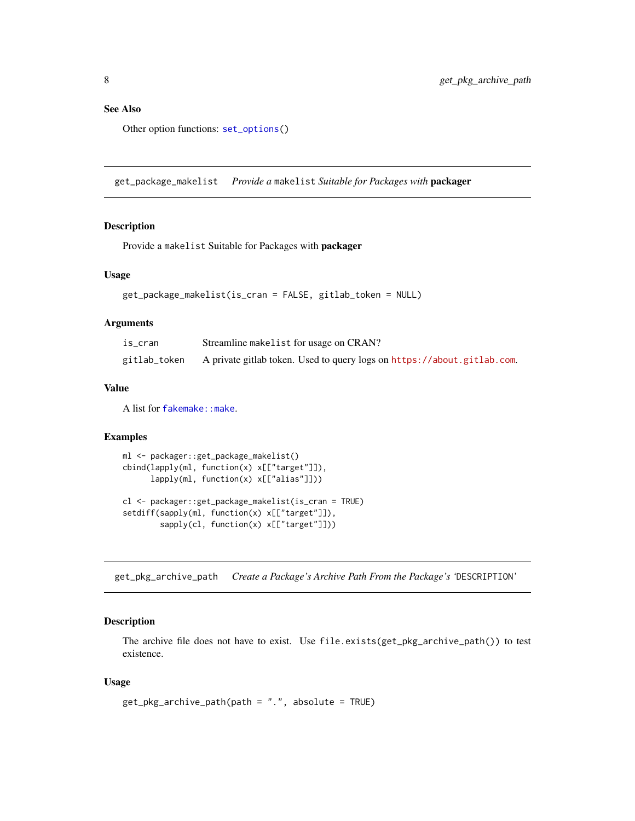#### <span id="page-7-0"></span>See Also

Other option functions: [set\\_options\(](#page-12-1))

<span id="page-7-1"></span>get\_package\_makelist *Provide a* makelist *Suitable for Packages with* packager

#### Description

Provide a makelist Suitable for Packages with packager

#### Usage

```
get_package_makelist(is_cran = FALSE, gitlab_token = NULL)
```
#### Arguments

| is cran      | Streamline makelist for usage on CRAN?                                  |
|--------------|-------------------------------------------------------------------------|
| gitlab_token | A private gitlab token. Used to query logs on https://about.gitlab.com. |

#### Value

A list for [fakemake::make](#page-0-0).

#### Examples

```
ml <- packager::get_package_makelist()
cbind(lapply(ml, function(x) x[["target"]]),
     lapply(ml, function(x) x[["alias"]]))
cl <- packager::get_package_makelist(is_cran = TRUE)
setdiff(sapply(ml, function(x) x[["target"]]),
       sapply(cl, function(x) x[["target"]]))
```
get\_pkg\_archive\_path *Create a Package's Archive Path From the Package's '*DESCRIPTION*'*

#### Description

The archive file does not have to exist. Use file.exists(get\_pkg\_archive\_path()) to test existence.

#### Usage

```
get_pkg_archive_path(path = ".", absolute = TRUE)
```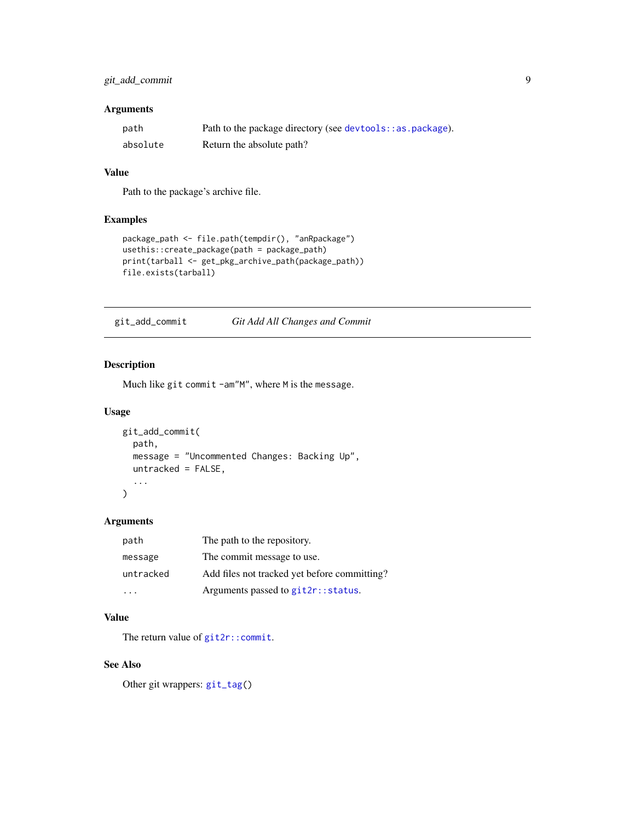### <span id="page-8-0"></span>git\_add\_commit 9

#### Arguments

| path     | Path to the package directory (see devtools: : as . package). |
|----------|---------------------------------------------------------------|
| absolute | Return the absolute path?                                     |

#### Value

Path to the package's archive file.

#### Examples

```
package_path <- file.path(tempdir(), "anRpackage")
usethis::create_package(path = package_path)
print(tarball <- get_pkg_archive_path(package_path))
file.exists(tarball)
```
<span id="page-8-1"></span>git\_add\_commit *Git Add All Changes and Commit*

#### Description

Much like git commit -am"M", where M is the message.

#### Usage

```
git_add_commit(
  path,
  message = "Uncommented Changes: Backing Up",
  untracked = FALSE,
  ...
\mathcal{L}
```
#### Arguments

| path      | The path to the repository.                  |
|-----------|----------------------------------------------|
| message   | The commit message to use.                   |
| untracked | Add files not tracked yet before committing? |
|           | Arguments passed to git2r:: status.          |

#### Value

The return value of [git2r::commit](#page-0-0).

### See Also

Other git wrappers: [git\\_tag\(](#page-9-2))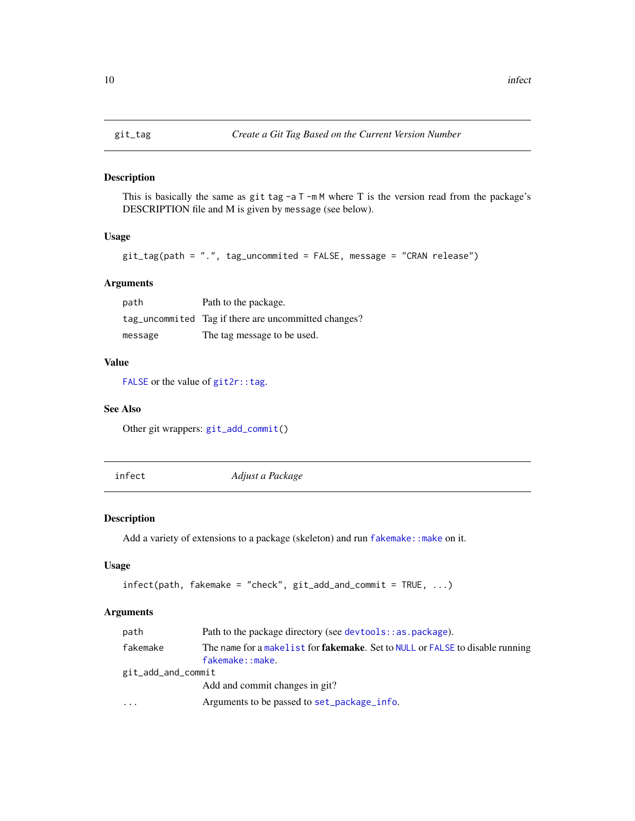#### <span id="page-9-2"></span><span id="page-9-0"></span>Description

This is basically the same as git tag  $-aT$  -m M where T is the version read from the package's DESCRIPTION file and M is given by message (see below).

#### Usage

git\_tag(path = ".", tag\_uncommited = FALSE, message = "CRAN release")

#### Arguments

| path    | Path to the package.                                 |
|---------|------------------------------------------------------|
|         | tag_uncommited Tag if there are uncommitted changes? |
| message | The tag message to be used.                          |

#### Value

[FALSE](#page-0-0) or the value of  $git2r:tag.$ 

#### See Also

Other git wrappers: [git\\_add\\_commit\(](#page-8-1))

<span id="page-9-1"></span>infect *Adjust a Package*

#### Description

Add a variety of extensions to a package (skeleton) and run fakemake: : make on it.

#### Usage

```
infect(path, fakemake = "check", git_add_and_commit = TRUE, ...)
```

| path               | Path to the package directory (see devtools: : as . package).                                            |  |
|--------------------|----------------------------------------------------------------------------------------------------------|--|
| fakemake           | The name for a makelist for <b>fakemake</b> . Set to NULL or FALSE to disable running<br>fakemake::make. |  |
| git_add_and_commit |                                                                                                          |  |
|                    | Add and commit changes in git?                                                                           |  |
| $\cdots$           | Arguments to be passed to set_package_info.                                                              |  |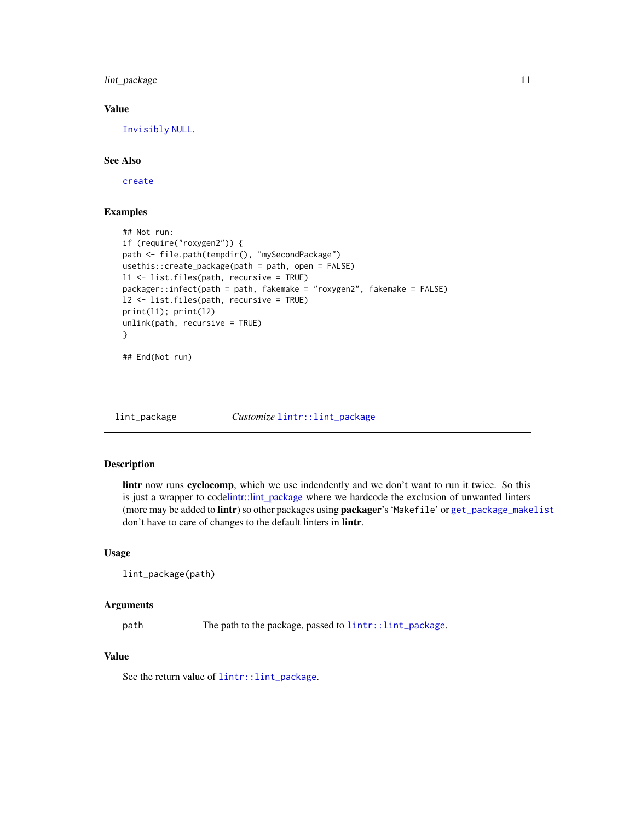#### <span id="page-10-0"></span>lint\_package 11

#### Value

[Invisibly](#page-0-0) [NULL](#page-0-0).

#### See Also

[create](#page-5-2)

#### Examples

```
## Not run:
if (require("roxygen2")) {
path <- file.path(tempdir(), "mySecondPackage")
usethis::create_package(path = path, open = FALSE)
l1 <- list.files(path, recursive = TRUE)
packager::infect(path = path, fakemake = "roxygen2", fakemake = FALSE)
l2 <- list.files(path, recursive = TRUE)
print(l1); print(l2)
unlink(path, recursive = TRUE)
}
## End(Not run)
```
lint\_package *Customize* [lintr::lint\\_package](#page-0-0)

#### Description

lintr now runs cyclocomp, which we use indendently and we don't want to run it twice. So this is just a wrapper to codelintr::lint package where we hardcode the exclusion of unwanted linters (more may be added to lintr) so other packages using packager's 'Makefile' or [get\\_package\\_makelist](#page-7-1) don't have to care of changes to the default linters in lintr.

#### Usage

```
lint_package(path)
```
#### Arguments

path The path to the package, passed to [lintr::lint\\_package](#page-0-0).

#### Value

See the return value of [lintr::lint\\_package](#page-0-0).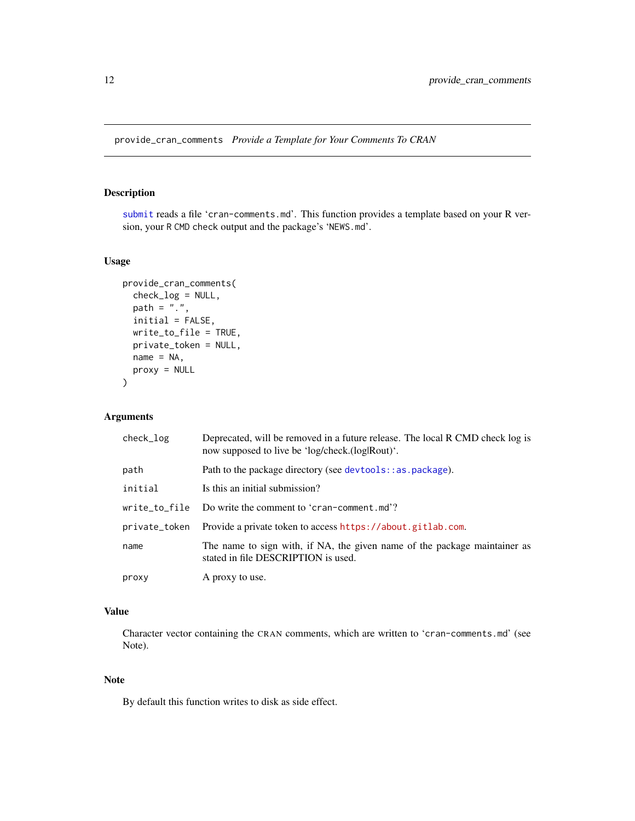<span id="page-11-0"></span>provide\_cran\_comments *Provide a Template for Your Comments To CRAN*

#### Description

[submit](#page-13-1) reads a file 'cran-comments.md'. This function provides a template based on your R version, your R CMD check output and the package's 'NEWS.md'.

#### Usage

```
provide_cran_comments(
  check_log = NULL,
 path = ".'',initial = FALSE,
 write_to_file = TRUE,
 private_token = NULL,
 name = NA,proxy = NULL
)
```
#### Arguments

| check_log     | Deprecated, will be removed in a future release. The local R CMD check log is<br>now supposed to live be 'log/check.(log Rout)'. |
|---------------|----------------------------------------------------------------------------------------------------------------------------------|
| path          | Path to the package directory (see devtools::as.package).                                                                        |
| initial       | Is this an initial submission?                                                                                                   |
| write_to_file | Do write the comment to 'cran-comment.md'?                                                                                       |
| private_token | Provide a private token to access https://about.gitlab.com.                                                                      |
| name          | The name to sign with, if NA, the given name of the package maintainer as<br>stated in file DESCRIPTION is used.                 |
| proxy         | A proxy to use.                                                                                                                  |

### Value

Character vector containing the CRAN comments, which are written to 'cran-comments.md' (see Note).

#### Note

By default this function writes to disk as side effect.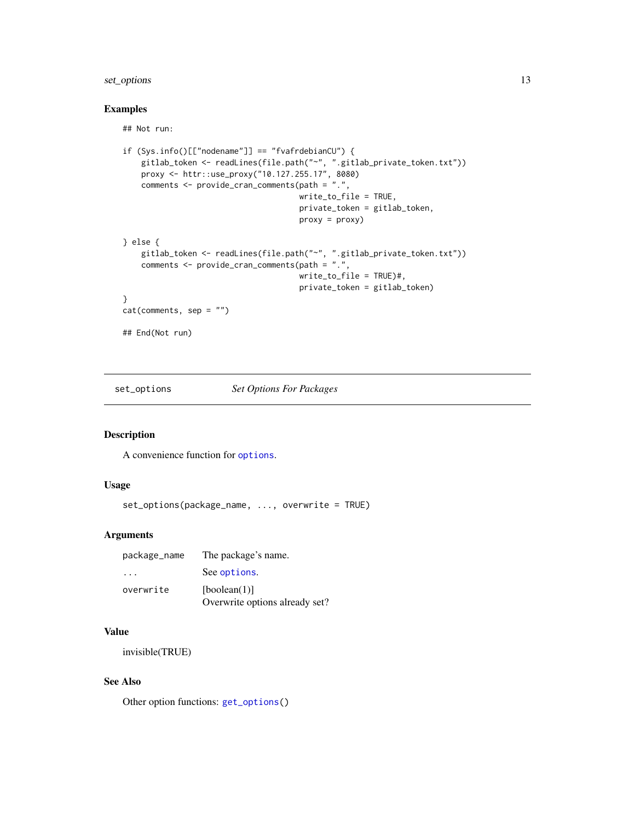#### <span id="page-12-0"></span>set\_options 13

#### Examples

## Not run:

```
if (Sys.info()[["nodename"]] == "fvafrdebianCU") {
    gitlab_token <- readLines(file.path("~", ".gitlab_private_token.txt"))
    proxy <- httr::use_proxy("10.127.255.17", 8080)
   comments <- provide_cran_comments(path = ".",
                                      write_to_file = TRUE,
                                      private_token = gitlab_token,
                                      proxy = proxy)
} else {
   gitlab_token <- readLines(file.path("~", ".gitlab_private_token.txt"))
   comments <- provide_cran_comments(path = ".",
                                      write_to_file = TRUE)#,
                                      private_token = gitlab_token)
}
cat(comments, sep = "")
## End(Not run)
```
<span id="page-12-1"></span>set\_options *Set Options For Packages*

#### Description

A convenience function for [options](#page-0-0).

#### Usage

```
set_options(package_name, ..., overwrite = TRUE)
```
#### Arguments

| package_name | The package's name.                            |
|--------------|------------------------------------------------|
| .            | See options.                                   |
| overwrite    | [boolean(1)]<br>Overwrite options already set? |

#### Value

invisible(TRUE)

#### See Also

Other option functions: [get\\_options\(](#page-6-1))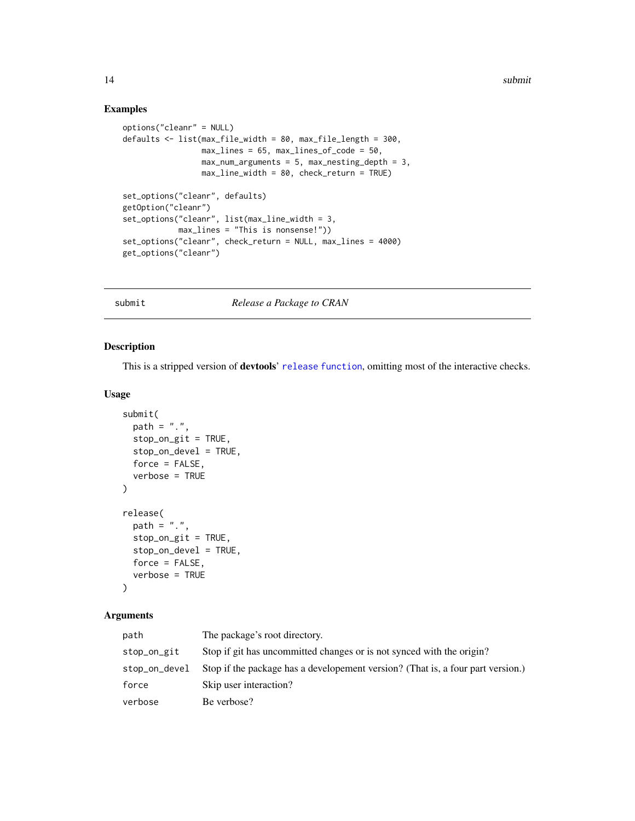<span id="page-13-0"></span>14 submit

#### Examples

```
options("cleanr" = NULL)
defaults <- list(max_file_width = 80, max_file_length = 300,
                   max_{{\text{max}} \to 65, max_{{\text{max}} \to 65} maxsum_{{\text{max}} \to 60},
                   max\_num\_arguments = 5, max\_nesting\_depth = 3,
                   max_line_width = 80, check_return = TRUE)
set_options("cleanr", defaults)
getOption("cleanr")
set_options("cleanr", list(max_line_width = 3,
             max_lines = "This is nonsense!"))
set_options("cleanr", check_return = NULL, max_lines = 4000)
get_options("cleanr")
```
submit *Release a Package to CRAN*

#### <span id="page-13-2"></span>Description

This is a stripped version of **devtools'** [release function](#page-0-0), omitting most of the interactive checks.

#### Usage

```
submit(
 path = "."stop_on_git = TRUE,
 stop_on_devel = TRUE,
 force = FALSE,
  verbose = TRUE
)
release(
 path = ".'',stop_on_git = TRUE,
 stop_on_devel = TRUE,
  force = FALSE,verbose = TRUE
)
```

| path          | The package's root directory.                                                   |
|---------------|---------------------------------------------------------------------------------|
| stop_on_git   | Stop if git has uncommitted changes or is not synced with the origin?           |
| stop_on_devel | Stop if the package has a developement version? (That is, a four part version.) |
| force         | Skip user interaction?                                                          |
| verbose       | Be verbose?                                                                     |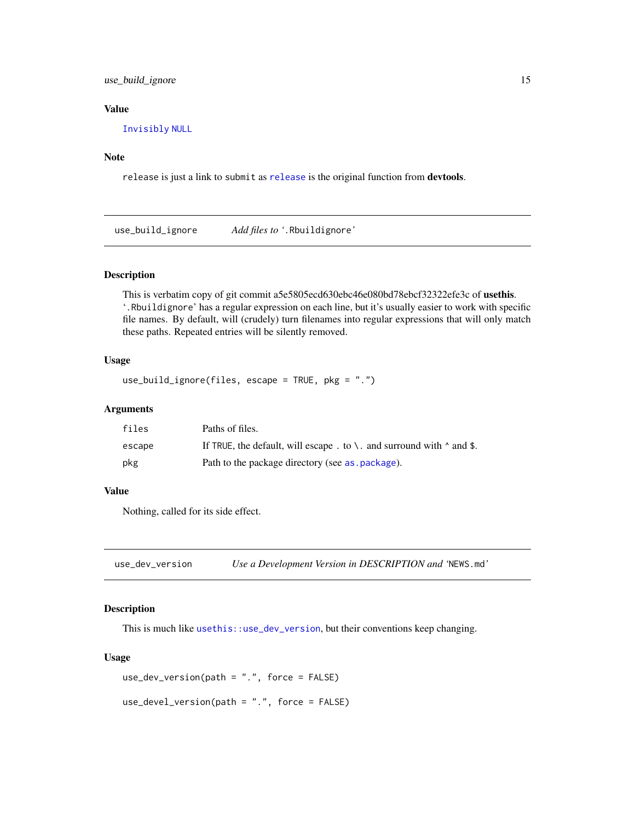<span id="page-14-0"></span>use\_build\_ignore 15

#### Value

[Invisibly](#page-0-0) [NULL](#page-0-0)

#### Note

release is just a link to submit as [release](#page-13-2) is the original function from devtools.

use\_build\_ignore *Add files to '*.Rbuildignore*'*

#### Description

This is verbatim copy of git commit a5e5805ecd630ebc46e080bd78ebcf32322efe3c of usethis. '.Rbuildignore' has a regular expression on each line, but it's usually easier to work with specific file names. By default, will (crudely) turn filenames into regular expressions that will only match these paths. Repeated entries will be silently removed.

#### Usage

```
use_build_ignore(files, escape = TRUE, pkg = ".")
```
#### **Arguments**

| files  | Paths of files.                                                            |
|--------|----------------------------------------------------------------------------|
| escape | If TRUE, the default, will escape . to \ and surround with $\land$ and \$. |
| pkg    | Path to the package directory (see as . package).                          |

#### Value

Nothing, called for its side effect.

use\_dev\_version *Use a Development Version in DESCRIPTION and '*NEWS.md*'*

#### Description

This is much like [usethis::use\\_dev\\_version](#page-0-0), but their conventions keep changing.

#### Usage

```
use_dev_version(path = ".", force = FALSE)
```

```
use_devel_version(path = ".", force = FALSE)
```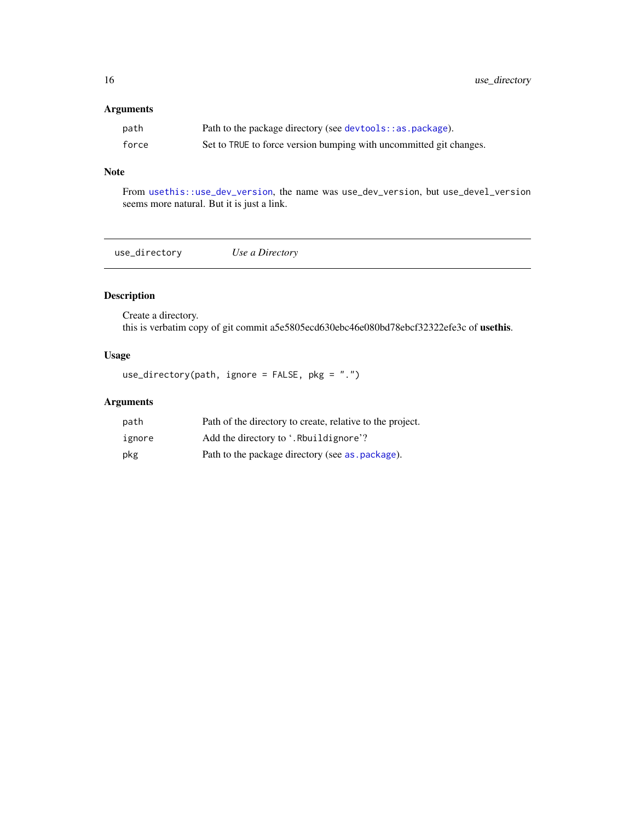#### <span id="page-15-0"></span>Arguments

| path  | Path to the package directory (see devtools: : as . package).      |
|-------|--------------------------------------------------------------------|
| force | Set to TRUE to force version bumping with uncommitted git changes. |

#### Note

From [usethis::use\\_dev\\_version](#page-0-0), the name was use\_dev\_version, but use\_devel\_version seems more natural. But it is just a link.

use\_directory *Use a Directory*

#### Description

Create a directory. this is verbatim copy of git commit a5e5805ecd630ebc46e080bd78ebcf32322efe3c of usethis.

### Usage

use\_directory(path, ignore = FALSE, pkg = ".")

| path   | Path of the directory to create, relative to the project. |
|--------|-----------------------------------------------------------|
| ignore | Add the directory to '. Rhuildignore'?                    |
| pkg    | Path to the package directory (see as . package).         |